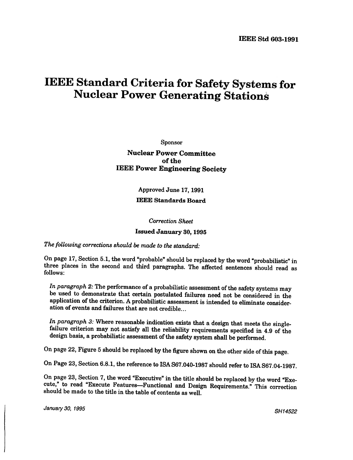## **IEEE Standard Criteria for Safety Systems for Nuclear Power Generating Stations**

Sponsor

Nuclear Power Committee of the IEEE Power Engineering Society

Approved June 17,1991

## IEEE Standards Board

Correction Sheet

## Issued January 30, 1995

The following corrections should be made to the standard:

On page 17, Section 5.1, the word "probable" should be replaced by the word "probabilistic" in three places in the second and third paragraphs. The affected sentences should read as follows:

In paragraph 2: The performance of a probabilistic assessment of the safety systems may be used to demonstrate that certain postulated failures need not be considered in the application of the criterion. A probabilistic assessment is intended to eliminate consideration of events and failures that are not credible. ..

In paragraph 3: Where reasonable indication exists that a design that meets the singlefailure criterion may not satisfy all the reliability requirements specified in 4.9 of the design basis, a probabilistic assessment of the safety system shall be performed.

On page 22, Figure 5 should be replaced by the figure shown on the other side of this page.

On Page 23, Section 6.8.1, the reference to ISAS67.040-1987 should refer to ISAS67.04-1987.

On page 23, Section 7, the word "Executive" in the title should be replaced by the word "Execute," to read "Execute Features-Functional and Design Requirements." This correction should be made to the title in the table of contents as well.

January 30, 1995 SH14522